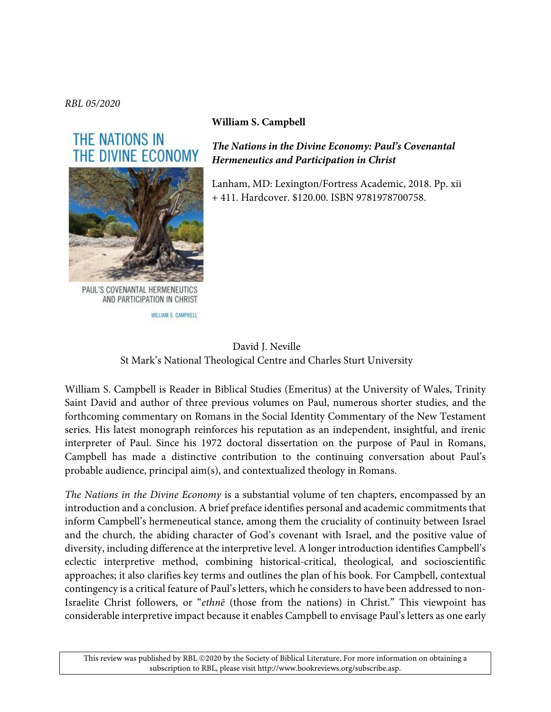*RBL 05/2020*

## THE NATIONS IN THE DIVINE ECONOMY



PAUL'S COVENANTAL HERMENEUTICS AND PARTICIPATION IN CHRIST

WILLIAM S. CAMPBELL

## **William S. Campbell**

*The Nations in the Divine Economy: Paul's Covenantal Hermeneutics and Participation in Christ*

Lanham, MD: Lexington/Fortress Academic, 2018. Pp. xii + 411. Hardcover. \$120.00. ISBN 9781978700758.

## David J. Neville St Mark's National Theological Centre and Charles Sturt University

William S. Campbell is Reader in Biblical Studies (Emeritus) at the University of Wales, Trinity Saint David and author of three previous volumes on Paul, numerous shorter studies, and the forthcoming commentary on Romans in the Social Identity Commentary of the New Testament series. His latest monograph reinforces his reputation as an independent, insightful, and irenic interpreter of Paul. Since his 1972 doctoral dissertation on the purpose of Paul in Romans, Campbell has made a distinctive contribution to the continuing conversation about Paul's probable audience, principal aim(s), and contextualized theology in Romans.

*The Nations in the Divine Economy* is a substantial volume of ten chapters, encompassed by an introduction and a conclusion. A brief preface identifies personal and academic commitments that inform Campbell's hermeneutical stance, among them the cruciality of continuity between Israel and the church, the abiding character of God's covenant with Israel, and the positive value of diversity, including difference at the interpretive level. A longer introduction identifies Campbell's eclectic interpretive method, combining historical-critical, theological, and socioscientific approaches; it also clarifies key terms and outlines the plan of his book. For Campbell, contextual contingency is a critical feature of Paul's letters, which he considers to have been addressed to non-Israelite Christ followers, or "*ethn*ē (those from the nations) in Christ." This viewpoint has considerable interpretive impact because it enables Campbell to envisage Paul's letters as one early

This review was published by RBL ©2020 by the Society of Biblical Literature. For more information on obtaining a subscription to RBL, please visit http://www.bookreviews.org/subscribe.asp.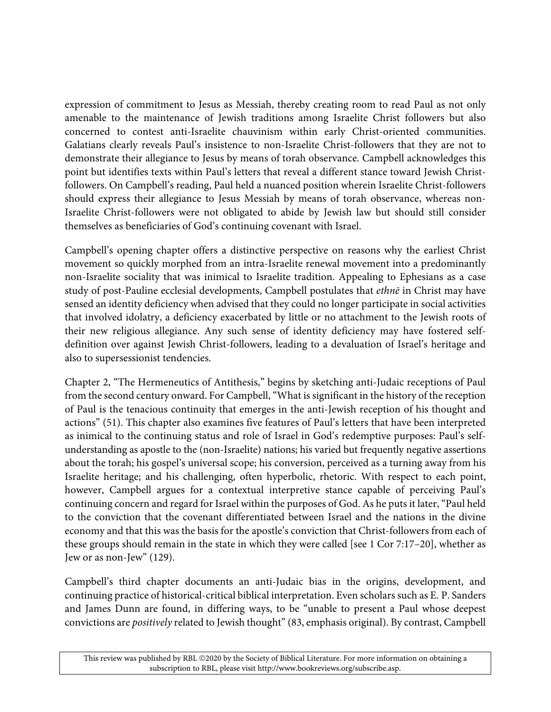expression of commitment to Jesus as Messiah, thereby creating room to read Paul as not only amenable to the maintenance of Jewish traditions among Israelite Christ followers but also concerned to contest anti-Israelite chauvinism within early Christ-oriented communities. Galatians clearly reveals Paul's insistence to non-Israelite Christ-followers that they are not to demonstrate their allegiance to Jesus by means of torah observance. Campbell acknowledges this point but identifies texts within Paul's letters that reveal a different stance toward Jewish Christfollowers. On Campbell's reading, Paul held a nuanced position wherein Israelite Christ-followers should express their allegiance to Jesus Messiah by means of torah observance, whereas non-Israelite Christ-followers were not obligated to abide by Jewish law but should still consider themselves as beneficiaries of God's continuing covenant with Israel.

Campbell's opening chapter offers a distinctive perspective on reasons why the earliest Christ movement so quickly morphed from an intra-Israelite renewal movement into a predominantly non-Israelite sociality that was inimical to Israelite tradition. Appealing to Ephesians as a case study of post-Pauline ecclesial developments, Campbell postulates that *ethn*ē in Christ may have sensed an identity deficiency when advised that they could no longer participate in social activities that involved idolatry, a deficiency exacerbated by little or no attachment to the Jewish roots of their new religious allegiance. Any such sense of identity deficiency may have fostered selfdefinition over against Jewish Christ-followers, leading to a devaluation of Israel's heritage and also to supersessionist tendencies.

Chapter 2, "The Hermeneutics of Antithesis," begins by sketching anti-Judaic receptions of Paul from the second century onward. For Campbell, "What is significant in the history of the reception of Paul is the tenacious continuity that emerges in the anti-Jewish reception of his thought and actions" (51). This chapter also examines five features of Paul's letters that have been interpreted as inimical to the continuing status and role of Israel in God's redemptive purposes: Paul's selfunderstanding as apostle to the (non-Israelite) nations; his varied but frequently negative assertions about the torah; his gospel's universal scope; his conversion, perceived as a turning away from his Israelite heritage; and his challenging, often hyperbolic, rhetoric. With respect to each point, however, Campbell argues for a contextual interpretive stance capable of perceiving Paul's continuing concern and regard for Israel within the purposes of God. As he puts it later, "Paul held to the conviction that the covenant differentiated between Israel and the nations in the divine economy and that this was the basis for the apostle's conviction that Christ-followers from each of these groups should remain in the state in which they were called [see 1 Cor 7:17–20], whether as Jew or as non-Jew" (129).

Campbell's third chapter documents an anti-Judaic bias in the origins, development, and continuing practice of historical-critical biblical interpretation. Even scholars such as E. P. Sanders and James Dunn are found, in differing ways, to be "unable to present a Paul whose deepest convictions are *positively* related to Jewish thought" (83, emphasis original). By contrast, Campbell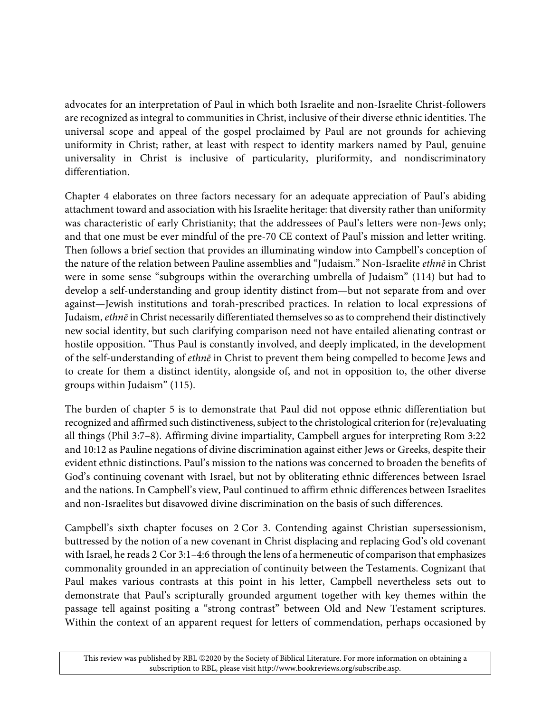advocates for an interpretation of Paul in which both Israelite and non-Israelite Christ-followers are recognized as integral to communities in Christ, inclusive of their diverse ethnic identities. The universal scope and appeal of the gospel proclaimed by Paul are not grounds for achieving uniformity in Christ; rather, at least with respect to identity markers named by Paul, genuine universality in Christ is inclusive of particularity, pluriformity, and nondiscriminatory differentiation.

Chapter 4 elaborates on three factors necessary for an adequate appreciation of Paul's abiding attachment toward and association with his Israelite heritage: that diversity rather than uniformity was characteristic of early Christianity; that the addressees of Paul's letters were non-Jews only; and that one must be ever mindful of the pre-70 CE context of Paul's mission and letter writing. Then follows a brief section that provides an illuminating window into Campbell's conception of the nature of the relation between Pauline assemblies and "Judaism." Non-Israelite *ethn*ē in Christ were in some sense "subgroups within the overarching umbrella of Judaism" (114) but had to develop a self-understanding and group identity distinct from—but not separate from and over against—Jewish institutions and torah-prescribed practices. In relation to local expressions of Judaism, *ethn*ē in Christ necessarily differentiated themselves so as to comprehend their distinctively new social identity, but such clarifying comparison need not have entailed alienating contrast or hostile opposition. "Thus Paul is constantly involved, and deeply implicated, in the development of the self-understanding of *ethn*ē in Christ to prevent them being compelled to become Jews and to create for them a distinct identity, alongside of, and not in opposition to, the other diverse groups within Judaism" (115).

The burden of chapter 5 is to demonstrate that Paul did not oppose ethnic differentiation but recognized and affirmed such distinctiveness, subject to the christological criterion for (re)evaluating all things (Phil 3:7–8). Affirming divine impartiality, Campbell argues for interpreting Rom 3:22 and 10:12 as Pauline negations of divine discrimination against either Jews or Greeks, despite their evident ethnic distinctions. Paul's mission to the nations was concerned to broaden the benefits of God's continuing covenant with Israel, but not by obliterating ethnic differences between Israel and the nations. In Campbell's view, Paul continued to affirm ethnic differences between Israelites and non-Israelites but disavowed divine discrimination on the basis of such differences.

Campbell's sixth chapter focuses on 2 Cor 3. Contending against Christian supersessionism, buttressed by the notion of a new covenant in Christ displacing and replacing God's old covenant with Israel, he reads 2 Cor 3:1–4:6 through the lens of a hermeneutic of comparison that emphasizes commonality grounded in an appreciation of continuity between the Testaments. Cognizant that Paul makes various contrasts at this point in his letter, Campbell nevertheless sets out to demonstrate that Paul's scripturally grounded argument together with key themes within the passage tell against positing a "strong contrast" between Old and New Testament scriptures. Within the context of an apparent request for letters of commendation, perhaps occasioned by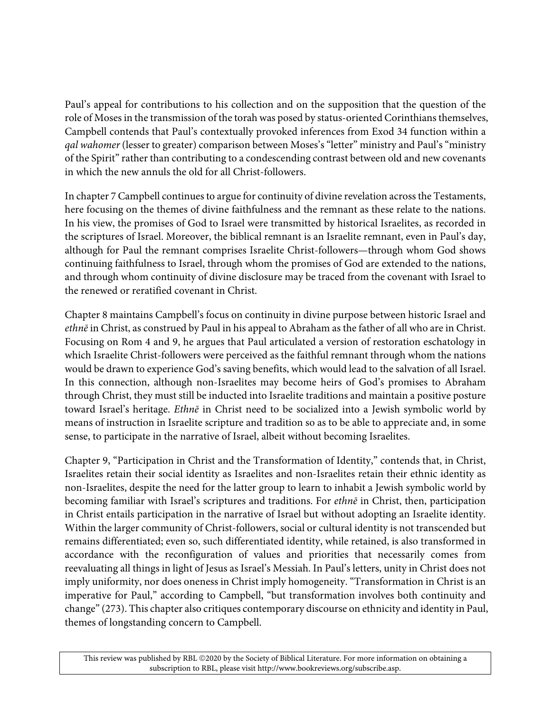Paul's appeal for contributions to his collection and on the supposition that the question of the role of Moses in the transmission of the torah was posed by status-oriented Corinthians themselves, Campbell contends that Paul's contextually provoked inferences from Exod 34 function within a *gal wahomer* (lesser to greater) comparison between Moses's "letter" ministry and Paul's "ministry of the Spirit" rather than contributing to a condescending contrast between old and new covenants in which the new annuls the old for all Christ-followers.

In chapter 7 Campbell continues to argue for continuity of divine revelation across the Testaments, here focusing on the themes of divine faithfulness and the remnant as these relate to the nations. In his view, the promises of God to Israel were transmitted by historical Israelites, as recorded in the scriptures of Israel. Moreover, the biblical remnant is an Israelite remnant, even in Paul's day, although for Paul the remnant comprises Israelite Christ-followers—through whom God shows continuing faithfulness to Israel, through whom the promises of God are extended to the nations, and through whom continuity of divine disclosure may be traced from the covenant with Israel to the renewed or reratified covenant in Christ.

Chapter 8 maintains Campbell's focus on continuity in divine purpose between historic Israel and *ethn*ē in Christ, as construed by Paul in his appeal to Abraham as the father of all who are in Christ. Focusing on Rom 4 and 9, he argues that Paul articulated a version of restoration eschatology in which Israelite Christ-followers were perceived as the faithful remnant through whom the nations would be drawn to experience God's saving benefits, which would lead to the salvation of all Israel. In this connection, although non-Israelites may become heirs of God's promises to Abraham through Christ, they must still be inducted into Israelite traditions and maintain a positive posture toward Israel's heritage. *Ethn*ē in Christ need to be socialized into a Jewish symbolic world by means of instruction in Israelite scripture and tradition so as to be able to appreciate and, in some sense, to participate in the narrative of Israel, albeit without becoming Israelites.

Chapter 9, "Participation in Christ and the Transformation of Identity," contends that, in Christ, Israelites retain their social identity as Israelites and non-Israelites retain their ethnic identity as non-Israelites, despite the need for the latter group to learn to inhabit a Jewish symbolic world by becoming familiar with Israel's scriptures and traditions. For *ethn*ē in Christ, then, participation in Christ entails participation in the narrative of Israel but without adopting an Israelite identity. Within the larger community of Christ-followers, social or cultural identity is not transcended but remains differentiated; even so, such differentiated identity, while retained, is also transformed in accordance with the reconfiguration of values and priorities that necessarily comes from reevaluating all things in light of Jesus as Israel's Messiah. In Paul's letters, unity in Christ does not imply uniformity, nor does oneness in Christ imply homogeneity. "Transformation in Christ is an imperative for Paul," according to Campbell, "but transformation involves both continuity and change" (273). This chapter also critiques contemporary discourse on ethnicity and identity in Paul, themes of longstanding concern to Campbell.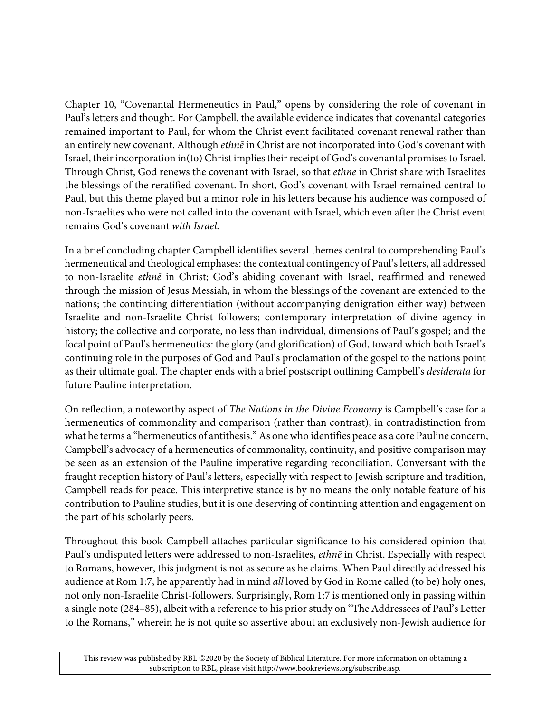Chapter 10, "Covenantal Hermeneutics in Paul," opens by considering the role of covenant in Paul's letters and thought. For Campbell, the available evidence indicates that covenantal categories remained important to Paul, for whom the Christ event facilitated covenant renewal rather than an entirely new covenant. Although *ethn*ē in Christ are not incorporated into God's covenant with Israel, their incorporation in(to) Christ implies their receipt of God's covenantal promises to Israel. Through Christ, God renews the covenant with Israel, so that *ethn*ē in Christ share with Israelites the blessings of the reratified covenant. In short, God's covenant with Israel remained central to Paul, but this theme played but a minor role in his letters because his audience was composed of non-Israelites who were not called into the covenant with Israel, which even after the Christ event remains God's covenant *with Israel*.

In a brief concluding chapter Campbell identifies several themes central to comprehending Paul's hermeneutical and theological emphases: the contextual contingency of Paul's letters, all addressed to non-Israelite *ethn*ē in Christ; God's abiding covenant with Israel, reaffirmed and renewed through the mission of Jesus Messiah, in whom the blessings of the covenant are extended to the nations; the continuing differentiation (without accompanying denigration either way) between Israelite and non-Israelite Christ followers; contemporary interpretation of divine agency in history; the collective and corporate, no less than individual, dimensions of Paul's gospel; and the focal point of Paul's hermeneutics: the glory (and glorification) of God, toward which both Israel's continuing role in the purposes of God and Paul's proclamation of the gospel to the nations point as their ultimate goal. The chapter ends with a brief postscript outlining Campbell's *desiderata* for future Pauline interpretation.

On reflection, a noteworthy aspect of *The Nations in the Divine Economy* is Campbell's case for a hermeneutics of commonality and comparison (rather than contrast), in contradistinction from what he terms a "hermeneutics of antithesis." As one who identifies peace as a core Pauline concern, Campbell's advocacy of a hermeneutics of commonality, continuity, and positive comparison may be seen as an extension of the Pauline imperative regarding reconciliation. Conversant with the fraught reception history of Paul's letters, especially with respect to Jewish scripture and tradition, Campbell reads for peace. This interpretive stance is by no means the only notable feature of his contribution to Pauline studies, but it is one deserving of continuing attention and engagement on the part of his scholarly peers.

Throughout this book Campbell attaches particular significance to his considered opinion that Paul's undisputed letters were addressed to non-Israelites, *ethn*ē in Christ. Especially with respect to Romans, however, this judgment is not as secure as he claims. When Paul directly addressed his audience at Rom 1:7, he apparently had in mind *all* loved by God in Rome called (to be) holy ones, not only non-Israelite Christ-followers. Surprisingly, Rom 1:7 is mentioned only in passing within a single note (284–85), albeit with a reference to his prior study on "The Addressees of Paul's Letter to the Romans," wherein he is not quite so assertive about an exclusively non-Jewish audience for